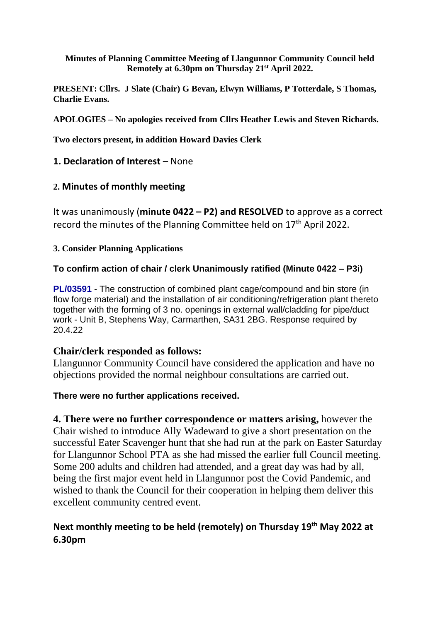#### **Minutes of Planning Committee Meeting of Llangunnor Community Council held Remotely at 6.30pm on Thursday 21 st April 2022.**

**PRESENT: Cllrs. J Slate (Chair) G Bevan, Elwyn Williams, P Totterdale, S Thomas, Charlie Evans.**

**APOLOGIES – No apologies received from Cllrs Heather Lewis and Steven Richards.**

**Two electors present, in addition Howard Davies Clerk**

**1. Declaration of Interest** – None

## **2. Minutes of monthly meeting**

It was unanimously (**minute 0422 – P2) and RESOLVED** to approve as a correct record the minutes of the Planning Committee held on 17<sup>th</sup> April 2022.

### **3. Consider Planning Applications**

## **To confirm action of chair / clerk Unanimously ratified (Minute 0422 – P3i)**

**PL/03591** - The construction of combined plant cage/compound and bin store (in flow forge material) and the installation of air conditioning/refrigeration plant thereto together with the forming of 3 no. openings in external wall/cladding for pipe/duct work - Unit B, Stephens Way, Carmarthen, SA31 2BG. Response required by 20.4.22

### **Chair/clerk responded as follows:**

Llangunnor Community Council have considered the application and have no objections provided the normal neighbour consultations are carried out.

### **There were no further applications received.**

**4. There were no further correspondence or matters arising,** however the Chair wished to introduce Ally Wadeward to give a short presentation on the successful Eater Scavenger hunt that she had run at the park on Easter Saturday for Llangunnor School PTA as she had missed the earlier full Council meeting. Some 200 adults and children had attended, and a great day was had by all, being the first major event held in Llangunnor post the Covid Pandemic, and wished to thank the Council for their cooperation in helping them deliver this excellent community centred event.

# **Next monthly meeting to be held (remotely) on Thursday 19th May 2022 at 6.30pm**